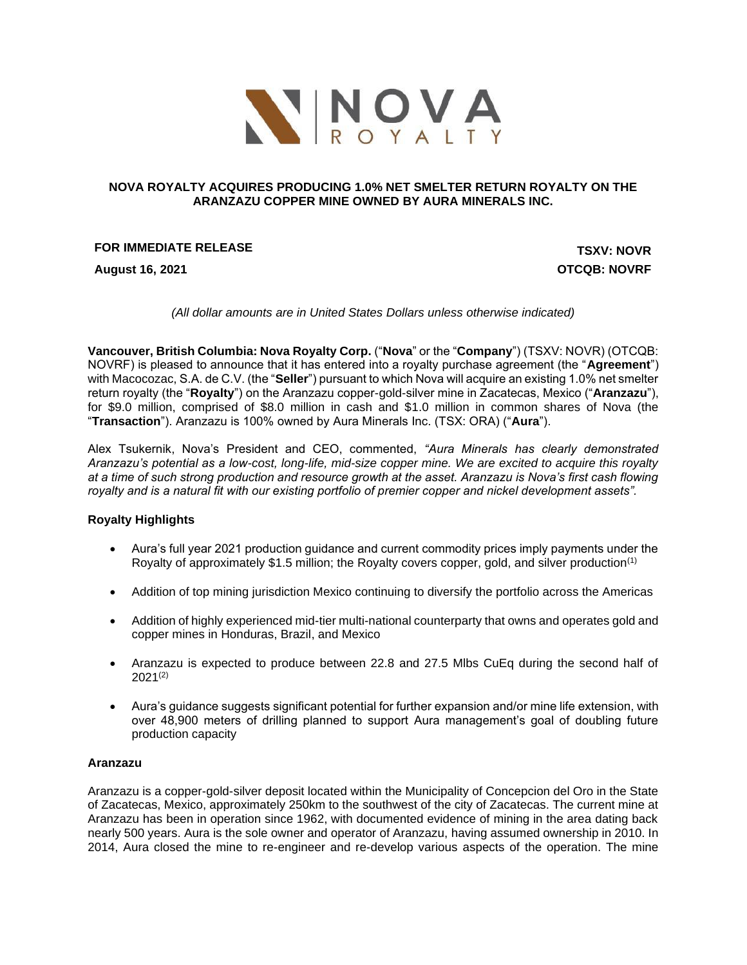

## **NOVA ROYALTY ACQUIRES PRODUCING 1.0% NET SMELTER RETURN ROYALTY ON THE ARANZAZU COPPER MINE OWNED BY AURA MINERALS INC.**

## **FOR IMMEDIATE RELEASE TSXV: NOVR**

**August 16, 2021 OTCQB: NOVRF**

*(All dollar amounts are in United States Dollars unless otherwise indicated)*

**Vancouver, British Columbia: Nova Royalty Corp.** ("**Nova**" or the "**Company**") (TSXV: NOVR) (OTCQB: NOVRF) is pleased to announce that it has entered into a royalty purchase agreement (the "**Agreement**") with Macocozac, S.A. de C.V. (the "**Seller**") pursuant to which Nova will acquire an existing 1.0% net smelter return royalty (the "**Royalty**") on the Aranzazu copper-gold-silver mine in Zacatecas, Mexico ("**Aranzazu**"), for \$9.0 million, comprised of \$8.0 million in cash and \$1.0 million in common shares of Nova (the "**Transaction**"). Aranzazu is 100% owned by Aura Minerals Inc. (TSX: ORA) ("**Aura**").

Alex Tsukernik, Nova's President and CEO, commented, *"Aura Minerals has clearly demonstrated Aranzazu's potential as a low-cost, long-life, mid-size copper mine. We are excited to acquire this royalty at a time of such strong production and resource growth at the asset. Aranzazu is Nova's first cash flowing royalty and is a natural fit with our existing portfolio of premier copper and nickel development assets".* 

## **Royalty Highlights**

- Aura's full year 2021 production guidance and current commodity prices imply payments under the Royalty of approximately \$1.5 million; the Royalty covers copper, gold, and silver production(1)
- Addition of top mining jurisdiction Mexico continuing to diversify the portfolio across the Americas
- Addition of highly experienced mid-tier multi-national counterparty that owns and operates gold and copper mines in Honduras, Brazil, and Mexico
- Aranzazu is expected to produce between 22.8 and 27.5 Mlbs CuEq during the second half of 2021(2)
- Aura's guidance suggests significant potential for further expansion and/or mine life extension, with over 48,900 meters of drilling planned to support Aura management's goal of doubling future production capacity

## **Aranzazu**

Aranzazu is a copper-gold-silver deposit located within the Municipality of Concepcion del Oro in the State of Zacatecas, Mexico, approximately 250km to the southwest of the city of Zacatecas. The current mine at Aranzazu has been in operation since 1962, with documented evidence of mining in the area dating back nearly 500 years. Aura is the sole owner and operator of Aranzazu, having assumed ownership in 2010. In 2014, Aura closed the mine to re-engineer and re-develop various aspects of the operation. The mine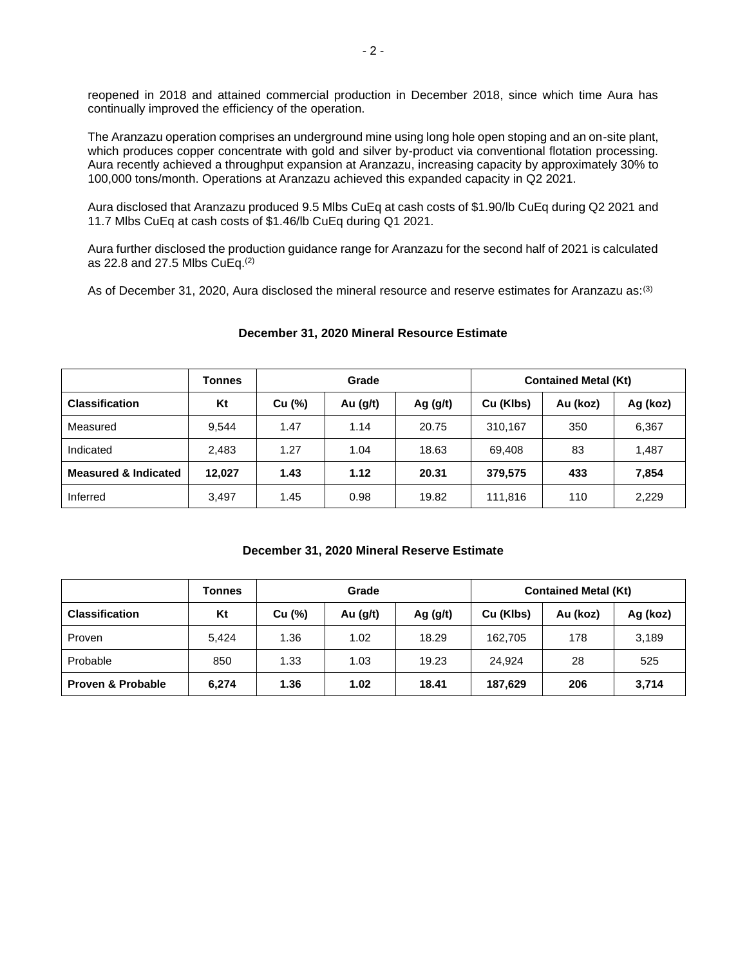reopened in 2018 and attained commercial production in December 2018, since which time Aura has continually improved the efficiency of the operation.

The Aranzazu operation comprises an underground mine using long hole open stoping and an on-site plant, which produces copper concentrate with gold and silver by-product via conventional flotation processing. Aura recently achieved a throughput expansion at Aranzazu, increasing capacity by approximately 30% to 100,000 tons/month. Operations at Aranzazu achieved this expanded capacity in Q2 2021.

Aura disclosed that Aranzazu produced 9.5 Mlbs CuEq at cash costs of \$1.90/lb CuEq during Q2 2021 and 11.7 Mlbs CuEq at cash costs of \$1.46/lb CuEq during Q1 2021.

Aura further disclosed the production guidance range for Aranzazu for the second half of 2021 is calculated as 22.8 and 27.5 Mlbs CuEq.(2)

As of December 31, 2020, Aura disclosed the mineral resource and reserve estimates for Aranzazu as:<sup>(3)</sup>

|                                 | <b>Tonnes</b> | Grade  |          |            | <b>Contained Metal (Kt)</b> |          |          |
|---------------------------------|---------------|--------|----------|------------|-----------------------------|----------|----------|
| <b>Classification</b>           | Kt            | Cu (%) | Au (g/t) | Ag $(g/t)$ | Cu (Klbs)                   | Au (koz) | Ag (koz) |
| Measured                        | 9.544         | 1.47   | 1.14     | 20.75      | 310.167                     | 350      | 6,367    |
| Indicated                       | 2,483         | 1.27   | 1.04     | 18.63      | 69.408                      | 83       | 1,487    |
| <b>Measured &amp; Indicated</b> | 12.027        | 1.43   | 1.12     | 20.31      | 379.575                     | 433      | 7,854    |
| Inferred                        | 3,497         | 1.45   | 0.98     | 19.82      | 111,816                     | 110      | 2,229    |

## **December 31, 2020 Mineral Resource Estimate**

## **December 31, 2020 Mineral Reserve Estimate**

|                              | <b>Tonnes</b> | Grade  |            |            | <b>Contained Metal (Kt)</b> |          |          |
|------------------------------|---------------|--------|------------|------------|-----------------------------|----------|----------|
| <b>Classification</b>        | Kt            | Cu (%) | Au $(g/t)$ | Ag $(g/t)$ | Cu (Klbs)                   | Au (koz) | Ag (koz) |
| Proven                       | 5.424         | 1.36   | 1.02       | 18.29      | 162,705                     | 178      | 3,189    |
| Probable                     | 850           | 1.33   | 1.03       | 19.23      | 24.924                      | 28       | 525      |
| <b>Proven &amp; Probable</b> | 6,274         | 1.36   | 1.02       | 18.41      | 187,629                     | 206      | 3,714    |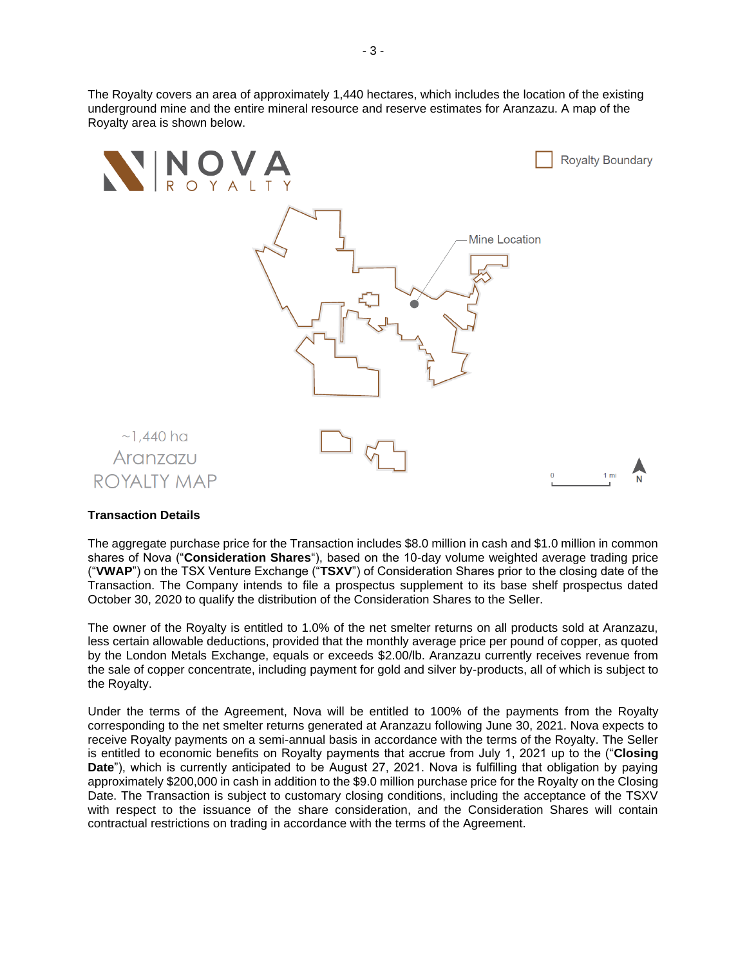The Royalty covers an area of approximately 1,440 hectares, which includes the location of the existing underground mine and the entire mineral resource and reserve estimates for Aranzazu. A map of the Royalty area is shown below.



## **Transaction Details**

The aggregate purchase price for the Transaction includes \$8.0 million in cash and \$1.0 million in common shares of Nova ("**Consideration Shares**"), based on the 10-day volume weighted average trading price ("**VWAP**") on the TSX Venture Exchange ("**TSXV**") of Consideration Shares prior to the closing date of the Transaction. The Company intends to file a prospectus supplement to its base shelf prospectus dated October 30, 2020 to qualify the distribution of the Consideration Shares to the Seller.

The owner of the Royalty is entitled to 1.0% of the net smelter returns on all products sold at Aranzazu, less certain allowable deductions, provided that the monthly average price per pound of copper, as quoted by the London Metals Exchange, equals or exceeds \$2.00/lb. Aranzazu currently receives revenue from the sale of copper concentrate, including payment for gold and silver by-products, all of which is subject to the Royalty.

Under the terms of the Agreement, Nova will be entitled to 100% of the payments from the Royalty corresponding to the net smelter returns generated at Aranzazu following June 30, 2021. Nova expects to receive Royalty payments on a semi-annual basis in accordance with the terms of the Royalty. The Seller is entitled to economic benefits on Royalty payments that accrue from July 1, 2021 up to the ("**Closing Date**"), which is currently anticipated to be August 27, 2021. Nova is fulfilling that obligation by paying approximately \$200,000 in cash in addition to the \$9.0 million purchase price for the Royalty on the Closing Date. The Transaction is subject to customary closing conditions, including the acceptance of the TSXV with respect to the issuance of the share consideration, and the Consideration Shares will contain contractual restrictions on trading in accordance with the terms of the Agreement.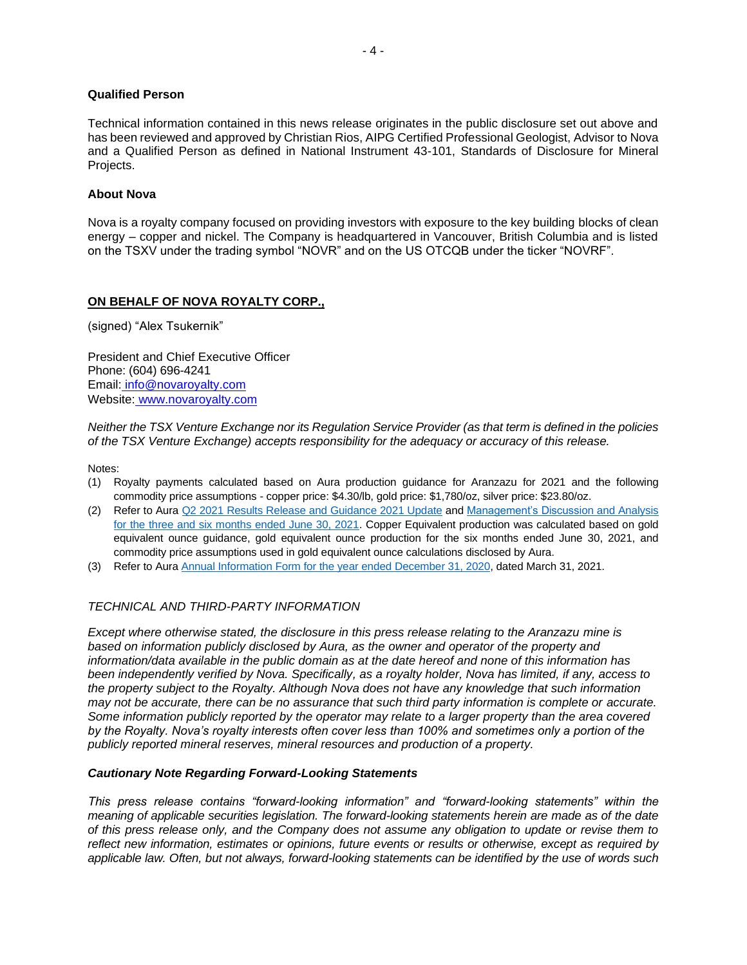# **Qualified Person**

Technical information contained in this news release originates in the public disclosure set out above and has been reviewed and approved by Christian Rios, AIPG Certified Professional Geologist, Advisor to Nova and a Qualified Person as defined in National Instrument 43-101, Standards of Disclosure for Mineral Projects.

#### **About Nova**

Nova is a royalty company focused on providing investors with exposure to the key building blocks of clean energy – copper and nickel. The Company is headquartered in Vancouver, British Columbia and is listed on the TSXV under the trading symbol "NOVR" and on the US OTCQB under the ticker "NOVRF".

## **ON BEHALF OF NOVA ROYALTY CORP.,**

(signed) "Alex Tsukernik"

President and Chief Executive Officer Phone: (604) 696-4241 Email: [info@novaroyalty.com](mailto:info@novaroyalty.com) Website: [www.novaroyalty.com](http://www.novaroyalty.com/)

*Neither the TSX Venture Exchange nor its Regulation Service Provider (as that term is defined in the policies of the TSX Venture Exchange) accepts responsibility for the adequacy or accuracy of this release.*

Notes:

- (1) Royalty payments calculated based on Aura production guidance for Aranzazu for 2021 and the following commodity price assumptions - copper price: \$4.30/lb, gold price: \$1,780/oz, silver price: \$23.80/oz.
- (2) Refer to Aura [Q2 2021 Results Release and Guidance 2021 Update](https://api.mziq.com/mzfilemanager/v2/d/7e088be0-b725-4cba-ab5e-4969a4ac92af/7304fbc7-1001-3c3e-9906-62bf861b3fc2?origin=1) and [Management's Discussion and Analysis](https://api.mziq.com/mzfilemanager/v2/d/7e088be0-b725-4cba-ab5e-4969a4ac92af/1d14e4f5-4eb8-48cb-3498-6424ac723ee8?origin=1)  [for the three and six months ended June 30, 2021.](https://api.mziq.com/mzfilemanager/v2/d/7e088be0-b725-4cba-ab5e-4969a4ac92af/1d14e4f5-4eb8-48cb-3498-6424ac723ee8?origin=1) Copper Equivalent production was calculated based on gold equivalent ounce guidance, gold equivalent ounce production for the six months ended June 30, 2021, and commodity price assumptions used in gold equivalent ounce calculations disclosed by Aura.
- (3) Refer to Aur[a Annual Information Form for the year ended December 31, 2020,](https://api.mziq.com/mzfilemanager/v2/d/7e088be0-b725-4cba-ab5e-4969a4ac92af/02a19333-eab7-4ae5-f53c-a03b63620ea7?origin=1) dated March 31, 2021.

## *TECHNICAL AND THIRD-PARTY INFORMATION*

*Except where otherwise stated, the disclosure in this press release relating to the Aranzazu mine is based on information publicly disclosed by Aura, as the owner and operator of the property and information/data available in the public domain as at the date hereof and none of this information has been independently verified by Nova. Specifically, as a royalty holder, Nova has limited, if any, access to the property subject to the Royalty. Although Nova does not have any knowledge that such information may not be accurate, there can be no assurance that such third party information is complete or accurate. Some information publicly reported by the operator may relate to a larger property than the area covered by the Royalty. Nova's royalty interests often cover less than 100% and sometimes only a portion of the publicly reported mineral reserves, mineral resources and production of a property.*

#### *Cautionary Note Regarding Forward-Looking Statements*

*This press release contains "forward-looking information" and "forward-looking statements" within the meaning of applicable securities legislation. The forward-looking statements herein are made as of the date of this press release only, and the Company does not assume any obligation to update or revise them to reflect new information, estimates or opinions, future events or results or otherwise, except as required by applicable law. Often, but not always, forward-looking statements can be identified by the use of words such*